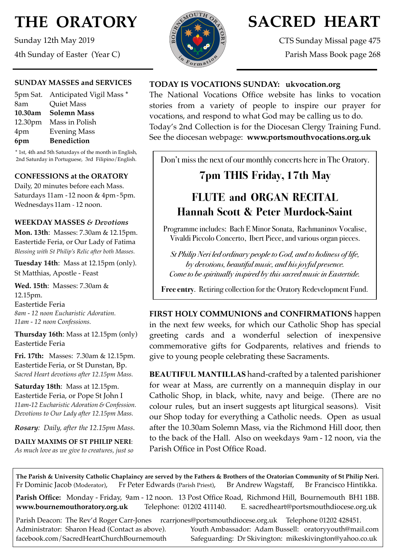# **THE ORATORY**

Sunday 12th May 2019 4th Sunday of Easter (Year C)

### **SUNDAY MASSES and SERVICES**

|     | 5pm Sat. Anticipated Vigil Mass * |
|-----|-----------------------------------|
| 8am | <b>Quiet Mass</b>                 |
|     | 10.30am Solemn Mass               |
|     | 12.30pm Mass in Polish            |
| 4pm | <b>Evening Mass</b>               |
| 6pm | <b>Benediction</b>                |
|     |                                   |

\* 1st, 4th and 5th Saturdays of the month in English, 2nd Saturday in Portuguese, 3rd Filipino/English.

### **CONFESSIONS at the ORATORY**

Daily, 20 minutes before each Mass. Saturdays 11am - 12 noon & 4pm- 5pm. Wednesdays 11am - 12 noon.

### **WEEKDAY MASSES** *& Devotions*

**Mon. 13th**: Masses: 7.30am & 12.15pm. Eastertide Feria, or Our Lady of Fatima *Blessing with St Philip's Relic after both Masses.*

**Tuesday 14th**: Mass at 12.15pm (only). St Matthias, Apostle - Feast

**Wed. 15th**: Masses: 7.30am & 12.15pm. Eastertide Feria *8am - 12 noon Eucharistic Adoration. 11am - 12 noon Confessions.*

**Thursday 16th**: Mass at 12.15pm (only) Eastertide Feria

**Fri. 17th:** Masses: 7.30am & 12.15pm. Eastertide Feria, or St Dunstan, Bp. *Sacred Heart devotions after 12.15pm Mass.*

**Saturday 18th**: Mass at 12.15pm. Eastertide Feria, or Pope St John I *11am-12 Eucharistic Adoration & Confession. Devotions to Our Lady after 12.15pm Mass.*

*Rosary: Daily, after the 12.15pm Mass*.

**DAILY MAXIMS OF ST PHILIP NERI**: *As much love as we give to creatures, just so* 



# **SACRED HEART**

CTS Sunday Missal page 475 Parish Mass Book page 268

### **TODAY IS VOCATIONS SUNDAY: [ukvocation.org](http://ukvocation.org)**

The National Vocations Office website has links to vocation stories from a variety of people to inspire our prayer for vocations, and respond to what God may be calling us to do. Today's 2nd Collection is for the Diocesan Clergy Training Fund. See the diocesan webpage: **[www.portsmouthvocations.org.uk](http://www.portsmouthvocations.org.uk)**

Don't miss the next of our monthly concerts here in The Oratory.

# **7pm THIS Friday, 17th May**

# **FLUTE and ORGAN RECITAL Hannah Scott & Peter Murdock-Saint**

Programme includes: Bach E Minor Sonata, Rachmaninov Vocalise, Vivaldi Piccolo Concerto, Ibert Piece, and various organ pieces.

*St Philip Neri led ordinary people to God, and to holiness of life, by devotions, beautiful music, and his joyful presence. Come to be spiritually inspired by this sacred music in Eastertide.* 

**Free entry**. Retiring collection for the Oratory Redevelopment Fund.

**FIRST HOLY COMMUNIONS and CONFIRMATIONS** happen in the next few weeks, for which our Catholic Shop has special greeting cards and a wonderful selection of inexpensive commemorative gifts for Godparents, relatives and friends to give to young people celebrating these Sacraments.

**BEAUTIFUL MANTILLAS** hand-crafted by a talented parishioner for wear at Mass, are currently on a mannequin display in our Catholic Shop, in black, white, navy and beige. (There are no colour rules, but an insert suggests apt liturgical seasons). Visit our Shop today for everything a Catholic needs. Open as usual after the 10.30am Solemn Mass, via the Richmond Hill door, then to the back of the Hall. Also on weekdays 9am - 12 noon, via the Parish Office in Post Office Road.

**The Parish & University Catholic Chaplaincy are served by the Fathers & Brothers of the Oratorian Community of St Philip Neri.** Fr Dominic Jacob (Moderator), Fr Peter Edwards (Parish Priest), Br Andrew Wagstaff, Br Francisco Hintikka.

**Parish Office:** Monday - Friday, 9am - 12 noon. 13 Post Office Road, Richmond Hill, Bournemouth BH1 1BB. **[www.bournemouthoratory.org.uk](http://www.bournemoithoratory.org.uk)** Telephone: 01202 411140. E. [sacredheart@portsmouthdiocese.org.uk](mailto:sacredheart@portsmouthdiocese.org.uk)

Parish Deacon: The Rev'd Roger Carr-Jones [rcarrjones@portsmouthdiocese.org.uk](mailto:rcarrjones@portsmouthdiocese.org.uk) Telephone 01202 428451. Administrator: Sharon Head (Contact as above). Youth Ambassador: Adam Bussell: [oratoryyouth@mail.com](http://oratoryyouth.mail.com) [facebook.com/SacredHeartChurchBournemouth](http://facebook.com/SaccredHeartChurchBournemouth) Safeguarding: Dr Skivington: mikeskivington@yahoo.co.uk